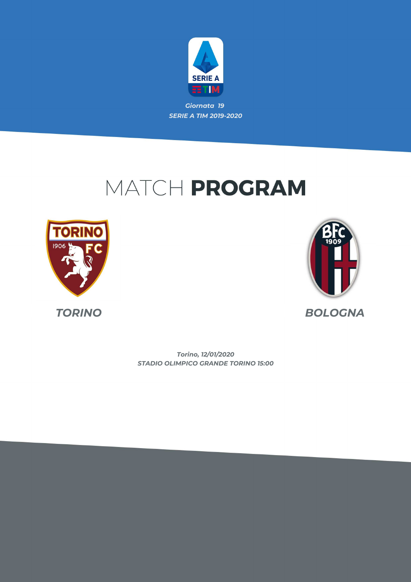

## MATCH PROGRAM





*STADIO OLIMPICO GRANDE TORINO 15:00 Torino, 12/01/2020*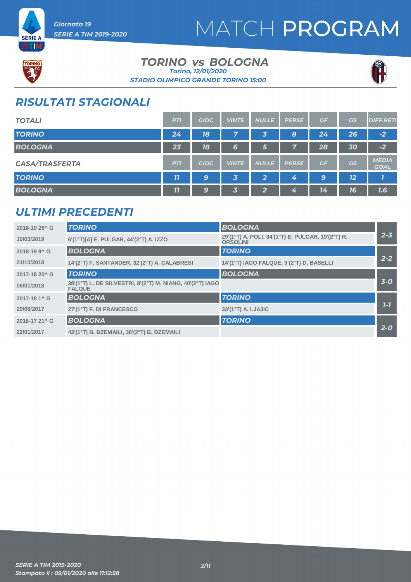



TORIN

#### *TORINO vs BOLOGNA STADIO OLIMPICO GRANDE TORINO 15:00 Torino, 12/01/2020*



### *RISULTATI STAGIONALI*

*SERIE A TIM 2019-2020*

*Giornata 19* 

| <b>TOTALI</b>         | <b>PTI</b>      | <b>GIOC</b> | <b>VINTE</b>            | <b>NULLE</b> | <b>PERSE</b> | GF | GS | <b>DIFF.RETI</b>            |
|-----------------------|-----------------|-------------|-------------------------|--------------|--------------|----|----|-----------------------------|
| <b>TORINO</b>         | 24 <sub>1</sub> | 18          | 7                       | 3            | 8            | 24 | 26 | $-2$                        |
| <b>BOLOGNA</b>        | 23              | 18          | 6                       | 5            | 7            | 28 | 30 | $-2$                        |
| <b>CASA/TRASFERTA</b> | <b>PTI</b>      | <b>GIOC</b> | <b>VINTE</b>            | <b>NULLE</b> | <b>PERSE</b> | GF | GS | <b>MEDIA</b><br><b>GOAL</b> |
| <b>TORINO</b>         | 71              | 9           | $\overline{\mathbf{3}}$ | 2            | 4            | 9  | 12 | 7                           |
| <b>BOLOGNA</b>        | 11              | 9           | $\vert$ 3               | 2            | 4            | 14 | 16 | 7.6                         |

### *ULTIMI PRECEDENTI*

| 2018-19 28 <sup>^</sup> G | <b>TORINO</b>                                                              | <b>BOLOGNA</b>                                                       |         |
|---------------------------|----------------------------------------------------------------------------|----------------------------------------------------------------------|---------|
| 16/03/2019                | 6'(1°T)[A] E. PULGAR, 44'(2°T) A. IZZO                                     | 29'(1°T) A. POLI, 34'(1°T) E. PULGAR, 19'(2°T) R.<br><b>ORSOLINI</b> | $2 - 3$ |
| 2018-19 9^ G              | <b>BOLOGNA</b>                                                             | <b>TORINO</b>                                                        |         |
| 21/10/2018                | 14'(2°T) F. SANTANDER, 32'(2°T) A. CALABRESI                               | 14'(1°T) IAGO FALQUE, 9'(2°T) D. BASELLI                             | $2 - 2$ |
| 2017-18 20 <sup>^</sup> G | <b>TORINO</b>                                                              | <b>BOLOGNA</b>                                                       |         |
| 06/01/2018                | 38'(1°T) L. DE SILVESTRI, 8'(2°T) M. NIANG, 40'(2°T) IAGO<br><b>FALQUE</b> |                                                                      | $3-0$   |
| 2017-18 1^ G              | <b>BOLOGNA</b>                                                             | <b>TORINO</b>                                                        |         |
| 20/08/2017                | 27'(1°T) F. DI FRANCESCO                                                   | 33'(1°T) A. LJAJIC                                                   | $7 - 7$ |
| 2016-17 21 <sup>^</sup> G | <b>BOLOGNA</b>                                                             | <b>TORINO</b>                                                        |         |
| 22/01/2017                | 43'(1°T) B. DZEMAILI, 38'(2°T) B. DZEMAILI                                 |                                                                      | $2 - 0$ |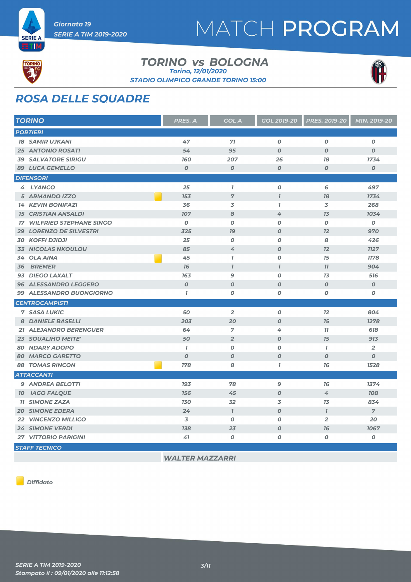



**ETM** 

#### *TORINO vs BOLOGNA STADIO OLIMPICO GRANDE TORINO 15:00 Torino, 12/01/2020*



### *ROSA DELLE SQUADRE*

| <b>TORINO</b>                     | PRES. A          | <b>GOL A</b>     | GOL 2019-20      | <b>PRES. 2019-20</b> | MIN. 2019-20     |
|-----------------------------------|------------------|------------------|------------------|----------------------|------------------|
| <b>PORTIERI</b>                   |                  |                  |                  |                      |                  |
| <b>18 SAMIR UJKANI</b>            | 47               | 71               | $\pmb{o}$        | $\overline{o}$       | $\boldsymbol{o}$ |
| <b>25 ANTONIO ROSATI</b>          | 54               | 95               | $\boldsymbol{O}$ | $\boldsymbol{O}$     | $\boldsymbol{o}$ |
| <b>39 SALVATORE SIRIGU</b>        | <b>160</b>       | 207              | 26               | 18                   | 1734             |
| <b>89 LUCA GEMELLO</b>            | $\boldsymbol{0}$ | $\boldsymbol{0}$ | $\boldsymbol{O}$ | $\boldsymbol{O}$     | $\boldsymbol{O}$ |
| <b>DIFENSORI</b>                  |                  |                  |                  |                      |                  |
| 4 LYANCO                          | 25               | $\mathbf{I}$     | $\boldsymbol{o}$ | 6                    | 497              |
| 5 ARMANDO IZZO                    | 153              | $\overline{7}$   | $\overline{I}$   | 78                   | 1734             |
| <b>14 KEVIN BONIFAZI</b>          | 36               | 3                | $\mathbf{I}$     | 3                    | 268              |
| <b>15 CRISTIAN ANSALDI</b>        | 107              | 8                | 4                | 13                   | 1034             |
| <b>17 WILFRIED STEPHANE SINGO</b> | $\boldsymbol{0}$ | $\boldsymbol{0}$ | $\boldsymbol{O}$ | O                    | 0                |
| <b>29 LORENZO DE SILVESTRI</b>    | 325              | 79               | $\boldsymbol{O}$ | 12                   | 970              |
| <b>30 KOFFI DJIDJI</b>            | 25               | $\boldsymbol{O}$ | $\boldsymbol{O}$ | 8                    | 426              |
| <b>33 NICOLAS NKOULOU</b>         | 85               | 4                | $\boldsymbol{O}$ | 12                   | <b>1127</b>      |
| 34 OLA AINA                       | 45               | $\overline{1}$   | $\boldsymbol{O}$ | 15                   | 1178             |
| <b>36 BREMER</b>                  | 76               | $\overline{1}$   | $\overline{1}$   | 77                   | 904              |
| 93 DIEGO LAXALT                   | 163              | $\mathbf{9}$     | $\boldsymbol{O}$ | 13                   | 516              |
| <b>96 ALESSANDRO LEGGERO</b>      | $\boldsymbol{0}$ | $\boldsymbol{0}$ | $\boldsymbol{0}$ | $\boldsymbol{O}$     | $\boldsymbol{0}$ |
| 99 ALESSANDRO BUONGIORNO          | $\mathbf{I}$     | 0                | 0                | 0                    | 0                |
| <b>CENTROCAMPISTI</b>             |                  |                  |                  |                      |                  |
| <b>7 SASA LUKIC</b>               | 50               | $\overline{2}$   | $\boldsymbol{O}$ | 12                   | 804              |
| 8 DANIELE BASELLI                 | 203              | 20               | $\boldsymbol{O}$ | 15                   | 1278             |
| 21 ALEJANDRO BERENGUER            | 64               | $\overline{7}$   | 4                | 77                   | 618              |
| 23 SOUALIHO MEITE'                | 50               | $\overline{2}$   | $\boldsymbol{O}$ | 15                   | 913              |
| <b>80 NDARY ADOPO</b>             | $\mathbf{I}$     | $\boldsymbol{0}$ | $\boldsymbol{O}$ | $\mathbf{7}$         | $\overline{2}$   |
| <b>80 MARCO GARETTO</b>           | $\boldsymbol{0}$ | $\boldsymbol{0}$ | $\boldsymbol{O}$ | $\boldsymbol{O}$     | $\boldsymbol{o}$ |
| <b>88 TOMAS RINCON</b>            | 178              | 8                | $\overline{I}$   | 76                   | 1528             |
| <b>ATTACCANTI</b>                 |                  |                  |                  |                      |                  |
| 9 ANDREA BELOTTI                  | 193              | 78               | $\mathbf 9$      | 76                   | 1374             |
| <b>10 IAGO FALQUE</b>             | 156              | 45               | $\boldsymbol{O}$ | 4                    | <b>108</b>       |
| <b>11 SIMONE ZAZA</b>             | 130              | 32               | 3                | 13                   | 834              |
| <b>20 SIMONE EDERA</b>            | 24               | $\mathcal{I}$    | $\boldsymbol{O}$ | $\mathbf{I}$         | $\overline{7}$   |
| <b>22 VINCENZO MILLICO</b>        | 3                | $\boldsymbol{0}$ | $\boldsymbol{o}$ | $\overline{2}$       | 20               |
| <b>24 SIMONE VERDI</b>            | 138              | 23               | $\boldsymbol{O}$ | 76                   | 1067             |
| <b>27 VITTORIO PARIGINI</b>       | 41               | $\boldsymbol{o}$ | $\boldsymbol{O}$ | O                    | 0                |
| <b>STAFF TECNICO</b>              |                  |                  |                  |                      |                  |

*WALTER MAZZARRI*

*Diffidato*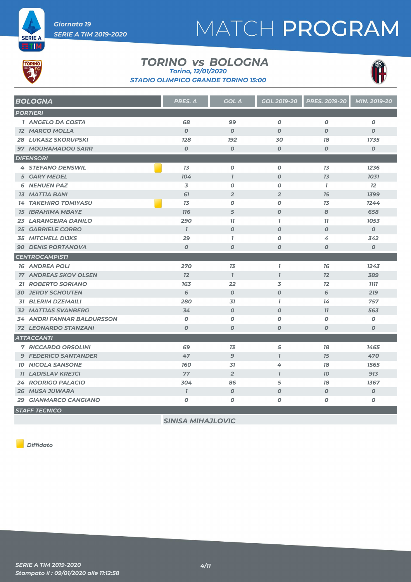



ETM,

#### *TORINO vs BOLOGNA Torino, 12/01/2020*

*STADIO OLIMPICO GRANDE TORINO 15:00*



| <b>BOLOGNA</b>                    | <b>PRES. A</b>   | <b>GOL A</b>     | <b>GOL 2019-20</b> | <b>PRES. 2019-20</b> | MIN. 2019-20       |
|-----------------------------------|------------------|------------------|--------------------|----------------------|--------------------|
| <b>PORTIERI</b>                   |                  |                  |                    |                      |                    |
| 1 ANGELO DA COSTA                 | 68               | 99               | $\boldsymbol{O}$   | $\boldsymbol{O}$     | $\boldsymbol{o}$   |
| <b>12 MARCO MOLLA</b>             | $\boldsymbol{O}$ | $\boldsymbol{0}$ | $\boldsymbol{O}$   | $\boldsymbol{0}$     | $\boldsymbol{O}$   |
| <b>28 LUKASZ SKORUPSKI</b>        | <b>128</b>       | <b>192</b>       | 30                 | 18                   | 1735               |
| 97 MOUHAMADOU SARR                | $\boldsymbol{O}$ | $\boldsymbol{O}$ | $\boldsymbol{o}$   | $\boldsymbol{O}$     | $\boldsymbol{O}$   |
| <b>DIFENSORI</b>                  |                  |                  |                    |                      |                    |
| <b>4 STEFANO DENSWIL</b>          | 13               | $\boldsymbol{o}$ | $\boldsymbol{o}$   | 13                   | 1236               |
| <b>5 GARY MEDEL</b>               | 104              | $\overline{1}$   | $\boldsymbol{0}$   | 13                   | 1031               |
| <b>6 NEHUEN PAZ</b>               | 3                | $\boldsymbol{0}$ | $\boldsymbol{0}$   | $\mathbf{7}$         | 12                 |
| <b>13 MATTIA BANI</b>             | 61               | $\overline{2}$   | $\overline{2}$     | 15                   | 1399               |
| <b>14 TAKEHIRO TOMIYASU</b>       | 13               | $\boldsymbol{0}$ | $\boldsymbol{0}$   | 13                   | 1244               |
| <b>15 IBRAHIMA MBAYE</b>          | <b>116</b>       | 5                | $\boldsymbol{0}$   | 8                    | 658                |
| <b>23 LARANGEIRA DANILO</b>       | 290              | 77               | $\mathbf{I}$       | 77                   | 1053               |
| <b>25 GABRIELE CORBO</b>          | $\mathbf{7}$     | $\boldsymbol{O}$ | $\boldsymbol{0}$   | $\boldsymbol{O}$     | $\mathcal{O}$      |
| <b>35 MITCHELL DIJKS</b>          | 29               | $\mathbf{7}$     | 0                  | 4                    | 342                |
| <b>90 DENIS PORTANOVA</b>         | $\boldsymbol{O}$ | $\boldsymbol{0}$ | $\boldsymbol{o}$   | 0                    | $\pmb{\mathit{o}}$ |
| <b>CENTROCAMPISTI</b>             |                  |                  |                    |                      |                    |
| <b>16 ANDREA POLI</b>             | 270              | 13               | $\mathbf{I}$       | 76                   | 1243               |
| <b>17 ANDREAS SKOV OLSEN</b>      | 12               | $\mathbf{7}$     | $\overline{1}$     | 12                   | 389                |
| <b>21 ROBERTO SORIANO</b>         | 163              | 22               | 3                  | 12                   | 7777               |
| <b>30 JERDY SCHOUTEN</b>          | 6                | $\boldsymbol{0}$ | $\boldsymbol{O}$   | 6                    | 219                |
| <b>31 BLERIM DZEMAILI</b>         | 280              | 31               | $\mathbf{7}$       | 14                   | 757                |
| <b>32 MATTIAS SVANBERG</b>        | 34               | $\boldsymbol{0}$ | $\boldsymbol{O}$   | 77                   | 563                |
| <b>34 ANDRI FANNAR BALDURSSON</b> | $\boldsymbol{O}$ | $\boldsymbol{O}$ | 0                  | $\boldsymbol{O}$     | O                  |
| <b>72 LEONARDO STANZANI</b>       | $\boldsymbol{0}$ | $\boldsymbol{0}$ | $\boldsymbol{o}$   | 0                    | $\boldsymbol{o}$   |
| <b>ATTACCANTI</b>                 |                  |                  |                    |                      |                    |
| <b>7 RICCARDO ORSOLINI</b>        | 69               | 13               | 5                  | 78                   | 1465               |
| <b>9 FEDERICO SANTANDER</b>       | 47               | $\mathbf{9}$     | $\overline{1}$     | 15                   | 470                |
| <b>10 NICOLA SANSONE</b>          | <b>160</b>       | 31               | 4                  | 78                   | 1565               |
| <b>11 LADISLAV KREJCI</b>         | 77               | $\overline{2}$   | $\overline{1}$     | 70                   | 913                |
| <b>24 RODRIGO PALACIO</b>         | 304              | 86               | 5                  | 18                   | 1367               |
| <b>26 MUSA JUWARA</b>             | $\mathbf{I}$     | $\boldsymbol{0}$ | $\boldsymbol{0}$   | 0                    | $\boldsymbol{O}$   |
| 29 GIANMARCO CANGIANO             | 0                | 0                | 0                  | 0                    | Ο                  |
| <b>STAFF TECNICO</b>              |                  |                  |                    |                      |                    |

*SINISA MIHAJLOVIC*

*Diffidato*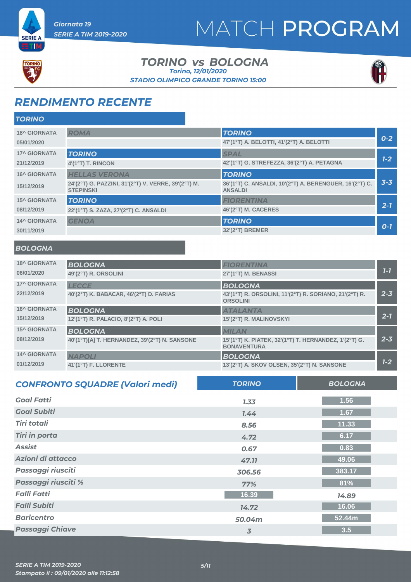



ETM

#### *TORINO vs BOLOGNA STADIO OLIMPICO GRANDE TORINO 15:00 Torino, 12/01/2020*



### *RENDIMENTO RECENTE*

| <b>TORINO</b>       |                                                                         |                                                                           |         |
|---------------------|-------------------------------------------------------------------------|---------------------------------------------------------------------------|---------|
| <b>18^ GIORNATA</b> | <b>ROMA</b>                                                             | <b>TORINO</b>                                                             |         |
| 05/01/2020          |                                                                         | 47'(1°T) A. BELOTTI, 41'(2°T) A. BELOTTI                                  | $0 - 2$ |
| <b>17^ GIORNATA</b> | <b>TORINO</b>                                                           | <b>SPAL</b>                                                               |         |
| 21/12/2019          | 4'(1°T) T. RINCON                                                       | 42'(1°T) G. STREFEZZA, 36'(2°T) A. PETAGNA                                | $1-2$   |
| <b>16^ GIORNATA</b> | <b>HELLAS VERONA</b>                                                    | <b>TORINO</b>                                                             |         |
| 15/12/2019          | 24'(2°T) G. PAZZINI, 31'(2°T) V. VERRE, 39'(2°T) M.<br><b>STEPINSKI</b> | 36'(1°T) C. ANSALDI, 10'(2°T) A. BERENGUER, 16'(2°T) C.<br><b>ANSALDI</b> | $3 - 3$ |
| <b>15^ GIORNATA</b> | <b>TORINO</b>                                                           | <b>FIORENTINA</b>                                                         |         |
| 08/12/2019          | 22'(1°T) S. ZAZA, 27'(2°T) C. ANSALDI                                   | 46'(2°T) M. CACERES                                                       | $2 - 7$ |
| <b>14^ GIORNATA</b> | <b>GENOA</b>                                                            | <b>TORINO</b>                                                             |         |
| 30/11/2019          |                                                                         | 32'(2°T) BREMER                                                           | $O-1$   |

#### *BOLOGNA*

| <b>18^ GIORNATA</b> | <b>BOLOGNA</b>                                | <b>FIORENTINA</b>                                                           |         |
|---------------------|-----------------------------------------------|-----------------------------------------------------------------------------|---------|
| 06/01/2020          | 49'(2°T) R. ORSOLINI                          | 27'(1°T) M. BENASSI                                                         | $7-7$   |
| <b>17^ GIORNATA</b> | <b>LECCE</b>                                  | <b>BOLOGNA</b>                                                              |         |
| 22/12/2019          | 40'(2°T) K. BABACAR, 46'(2°T) D. FARIAS       | 43'(1°T) R. ORSOLINI, 11'(2°T) R. SORIANO, 21'(2°T) R.<br><b>ORSOLINI</b>   | $2 - 3$ |
| <b>16^ GIORNATA</b> | <b>BOLOGNA</b>                                | <b>ATALANTA</b>                                                             |         |
| 15/12/2019          | 12'(1°T) R. PALACIO, 8'(2°T) A. POLI          | 15'(2°T) R. MALINOVSKYI                                                     | $2 - 1$ |
| <b>15^ GIORNATA</b> | <b>BOLOGNA</b>                                | <b>MILAN</b>                                                                |         |
| 08/12/2019          | 40'(1°T)[A] T. HERNANDEZ, 39'(2°T) N. SANSONE | 15'(1°T) K. PIATEK, 32'(1°T) T. HERNANDEZ, 1'(2°T) G.<br><b>BONAVENTURA</b> | $2 - 3$ |
| <b>14^ GIORNATA</b> | <b>NAPOLI</b>                                 | <b>BOLOGNA</b>                                                              |         |
| 01/12/2019          | 41'(1°T) F. LLORENTE                          | 13'(2°T) A. SKOV OLSEN, 35'(2°T) N. SANSONE                                 | $1 - 2$ |

| <b>CONFRONTO SQUADRE (Valori medi)</b> | <b>TORINO</b> | <b>BOLOGNA</b> |
|----------------------------------------|---------------|----------------|
| <b>Goal Fatti</b>                      | 7.33          | 1.56           |
| <b>Goal Subiti</b>                     | 7.44          | 1.67           |
| <b>Tiri totali</b>                     | 8.56          | 11.33          |
| <b>Tiri in porta</b>                   | 4.72          | 6.17           |
| Assist                                 | 0.67          | 0.83           |
| Azioni di attacco                      | 47.11         | 49.06          |
| Passaggi riusciti                      | 306.56        | 383.17         |
| Passaggi riusciti %                    | 77%           | 81%            |
| <b>Falli Fatti</b>                     | 16.39         | 14.89          |
| <b>Falli Subiti</b>                    | 14.72         | 16.06          |
| <b>Baricentro</b>                      | 50.04m        | 52.44m         |
| <b>Passaggi Chiave</b>                 | 3             | 3.5            |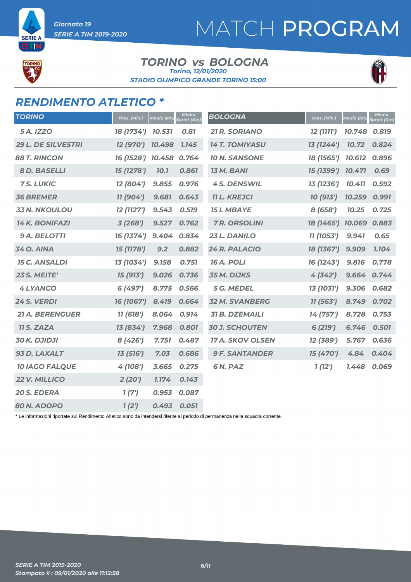SERIE A ETIM

**TORI** 

## MATCH PROGRAM

#### *TORINO vs BOLOGNA STADIO OLIMPICO GRANDE TORINO 15:00 Torino, 12/01/2020*



### *RENDIMENTO ATLETICO \**

| <b>TORINO</b>             | Pres. (Min.)      | Media (km)  | <b>Media</b><br>print (Km) | <b>BOLOGNA</b>          | Pres. (Min.) | Media (km)   | <b>Media</b><br>Sprint (Km) |
|---------------------------|-------------------|-------------|----------------------------|-------------------------|--------------|--------------|-----------------------------|
| <b>5A. IZZO</b>           | 18 (1734')        | 10.531      | 0.81                       | <b>21 R. SORIANO</b>    | 12 (1111')   | 10.748       | 0.819                       |
| <b>29 L. DE SILVESTRI</b> | <b>12 (970')</b>  | 10.498      | 1.145                      | <b>14 T. TOMIYASU</b>   | 13 (1244')   | 10.72        | 0.824                       |
| <b>88 T. RINCON</b>       | 16 (1528') 10.458 |             | 0.764                      | <b>10 N. SANSONE</b>    | 18 (1565')   | 10.612       | 0.896                       |
| 8 D. BASELLI              | 15 (1278')        | <b>10.1</b> | 0.861                      | <b>13 M. BANI</b>       | 15 (1399')   | 10.471       | 0.69                        |
| <b>7 S. LUKIC</b>         | 12 (804')         | 9.855       | 0.976                      | <b>4 S. DENSWIL</b>     | 13 (1236')   | 10.411       | 0.592                       |
| <b>36 BREMER</b>          | 11 (904')         | 9.681       | 0.643                      | <b>11 L. KREJCI</b>     | 10 (913')    | 10.259       | 0.991                       |
| <b>33 N. NKOULOU</b>      | 12 (1127')        | 9.543       | 0.519                      | <b>15 I. MBAYE</b>      | 8(658')      | 10.25        | 0.725                       |
| <b>14 K. BONIFAZI</b>     | 3(268)            | 9.527       | 0.762                      | <b>7 R. ORSOLINI</b>    | 18 (1465')   | 10.069 0.883 |                             |
| <b>9 A. BELOTTI</b>       | 16 (1374')        | 9.404       | 0.834                      | 23 L. DANILO            | 11 (1053')   | 9.941        | 0.65                        |
| <b>34 O. AINA</b>         | 15 (1178')        | 9.2         | 0.882                      | 24 R. PALACIO           | 18 (1367')   | 9.909        | 1.104                       |
| <b>15 C. ANSALDI</b>      | 13 (1034')        | 9.158       | 0.751                      | <b>16 A. POLI</b>       | 16 (1243')   | 9.816        | 0.778                       |
| 23 S. MEITE'              | 15 (913')         | 9.026       | 0.736                      | 35 M. DIJKS             | 4(342)       | 9.664        | 0.744                       |
| <b>4 LYANCO</b>           | 6 (497')          | 8.775       | 0.566                      | <b>5 G. MEDEL</b>       | 13 (1031')   | 9.306        | 0.682                       |
| 24 S. VERDI               | 16 (1067')        | 8.419       | 0.664                      | <b>32 M. SVANBERG</b>   | 11 (563')    | 8.749        | 0.702                       |
| <b>21 A. BERENGUER</b>    | 11 (618')         | 8.064       | 0.914                      | <b>31 B. DZEMAILI</b>   | 14 (757')    | 8.728        | 0.753                       |
| <b>11 S. ZAZA</b>         | 13 (834')         | 7.968       | 0.801                      | <b>30 J. SCHOUTEN</b>   | 6 (219')     | 6.746        | 0.501                       |
| <b>30 K. DJIDJI</b>       | 8 (426')          | 7.751       | 0.487                      | <b>17 A. SKOV OLSEN</b> | 12 (389')    | 5.767        | 0.636                       |
| 93 D. LAXALT              | 13 (516')         | 7.03        | 0.686                      | <b>9 F. SANTANDER</b>   | 15 (470')    | 4.84         | 0.404                       |
| <b>10 IAGO FALQUE</b>     | 4 (108')          | 3.665       | 0.275                      | 6N. PAZ                 | 1(12')       | 1.448        | 0.069                       |
| 22 V. MILLICO             | 2(20')            | 1.174       | 0.143                      |                         |              |              |                             |
| 20 S. EDERA               | 1(7')             | 0.953       | 0.087                      |                         |              |              |                             |
| 80 N. ADOPO               | 1(2')             | 0.493       | 0.051                      |                         |              |              |                             |

\* Le informazioni riportate sul Rendimento Atletico sono da intendersi riferite al periodo di permanenza nella squadra corrente.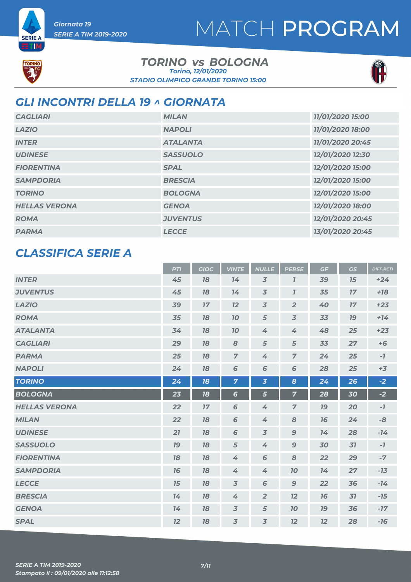



**SERIE A** ETIM

#### *TORINO vs BOLOGNA STADIO OLIMPICO GRANDE TORINO 15:00 Torino, 12/01/2020*



### *GLI INCONTRI DELLA 19 ^ GIORNATA*

| <b>CAGLIARI</b>      | <b>MILAN</b>    | 11/01/2020 15:00 |
|----------------------|-----------------|------------------|
| <b>LAZIO</b>         | <b>NAPOLI</b>   | 11/01/2020 18:00 |
| <b>INTER</b>         | <b>ATALANTA</b> | 11/01/2020 20:45 |
| <b>UDINESE</b>       | <b>SASSUOLO</b> | 12/01/2020 12:30 |
| <b>FIORENTINA</b>    | <b>SPAL</b>     | 12/01/2020 15:00 |
| <b>SAMPDORIA</b>     | <b>BRESCIA</b>  | 12/01/2020 15:00 |
| <b>TORINO</b>        | <b>BOLOGNA</b>  | 12/01/2020 15:00 |
| <b>HELLAS VERONA</b> | <b>GENOA</b>    | 12/01/2020 18:00 |
| <b>ROMA</b>          | <b>JUVENTUS</b> | 12/01/2020 20:45 |
| <b>PARMA</b>         | <b>LECCE</b>    | 13/01/2020 20:45 |

### *CLASSIFICA SERIE A*

|                      | <b>PTI</b> | <b>GIOC</b> | <b>VINTE</b>    | <b>NULLE</b>            | <b>PERSE</b>     | GF        | <b>GS</b> | <b>DIFF.RETI</b> |
|----------------------|------------|-------------|-----------------|-------------------------|------------------|-----------|-----------|------------------|
| <b>INTER</b>         | 45         | 78          | 14              | $\overline{3}$          | $\overline{I}$   | 39        | 15        | $+24$            |
| <b>JUVENTUS</b>      | 45         | 78          | 14              | $\overline{3}$          | $\boldsymbol{7}$ | 35        | 17        | $+78$            |
| <b>LAZIO</b>         | 39         | 17          | 12              | $\overline{3}$          | $\overline{2}$   | 40        | 17        | $+23$            |
| <b>ROMA</b>          | 35         | 18          | 10              | 5                       | $\overline{3}$   | 33        | <b>19</b> | $+14$            |
| <b>ATALANTA</b>      | 34         | 78          | 10              | 4                       | 4                | 48        | 25        | $+23$            |
| <b>CAGLIARI</b>      | 29         | 78          | 8               | 5                       | 5                | 33        | 27        | $+6$             |
| <b>PARMA</b>         | 25         | 18          | $\overline{7}$  | 4                       | $\overline{7}$   | 24        | 25        | $-7$             |
| <b>NAPOLI</b>        | 24         | 78          | 6               | 6                       | 6                | 28        | 25        | $+3$             |
| <b>TORINO</b>        | 24         | 18          | $\overline{7}$  | $\overline{\mathbf{3}}$ | 8                | 24        | 26        | $-2$             |
| <b>BOLOGNA</b>       | 23         | 18          | $6\phantom{1}6$ | 5                       | $\overline{7}$   | 28        | 30        | $-2$             |
| <b>HELLAS VERONA</b> | 22         | 17          | 6               | 4                       | $\overline{7}$   | <b>19</b> | 20        | $-7$             |
| <b>MILAN</b>         | 22         | 78          | 6               | 4                       | 8                | 16        | 24        | $-8$             |
| <b>UDINESE</b>       | 21         | 78          | 6               | $\overline{3}$          | $\mathbf{9}$     | 74        | 28        | $-14$            |
| <b>SASSUOLO</b>      | <b>19</b>  | 78          | 5               | 4                       | $\boldsymbol{9}$ | 30        | 31        | $-7$             |
| <b>FIORENTINA</b>    | 18         | 18          | 4               | 6                       | 8                | 22        | 29        | $-7$             |
| <b>SAMPDORIA</b>     | 16         | 18          | 4               | 4                       | 10               | 14        | 27        | $-13$            |
| <b>LECCE</b>         | 15         | 18          | $\overline{3}$  | 6                       | $\boldsymbol{9}$ | 22        | 36        | $-14$            |
| <b>BRESCIA</b>       | 14         | 18          | 4               | $\overline{2}$          | 12               | 16        | 31        | $-15$            |
| <b>GENOA</b>         | 14         | 18          | $\overline{3}$  | $\sqrt{5}$              | 10               | <b>19</b> | 36        | $-17$            |
| <b>SPAL</b>          | 12         | 18          | $\overline{3}$  | $\overline{3}$          | 12               | 12        | 28        | $-16$            |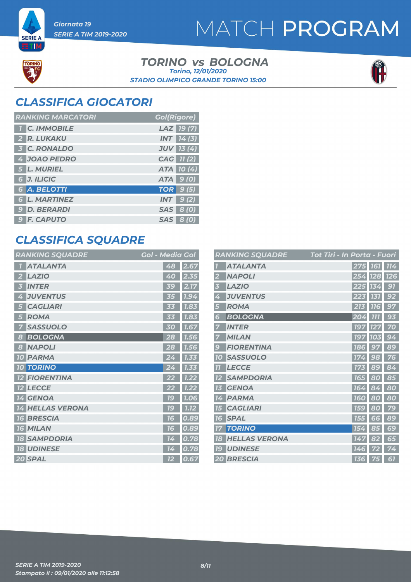## MATCH PROGRAM

TORI

**SERIE A** ETIM

#### *TORINO vs BOLOGNA STADIO OLIMPICO GRANDE TORINO 15:00 Torino, 12/01/2020*



### *CLASSIFICA GIOCATORI*

| <b>RANKING MARCATORI</b> | <b>Gol(Rigore)</b> |
|--------------------------|--------------------|
| <b>T C. IMMOBILE</b>     | LAZ 19(7)          |
| 2 R. LUKAKU              | <b>INT</b> 14(3)   |
| <b>3 C. RONALDO</b>      | <b>JUV 13 (4)</b>  |
| 4 JOAO PEDRO             | CAG 11(2)          |
| 5 L. MURIEL              | ATA 10(4)          |
| 6 J. ILICIC              | ATA 9(0)           |
| 6 A. BELOTTI             | TOR 9(5)           |
| <b>6 L. MARTINEZ</b>     | $INT$ 9(2)         |
| <b>9 D. BERARDI</b>      | SAS 8 (0)          |
| <b>9 F. CAPUTO</b>       | SAS 8 (0)          |

### *CLASSIFICA SQUADRE*

| <b>RANKING SQUADRE</b>     | <b>Gol - Media Gol</b> |
|----------------------------|------------------------|
| <b>ATALANTA</b>            | 48<br>2.67             |
| <b>LAZIO</b>               | 2.35                   |
| 2                          | 40                     |
| <b>INTER</b>               | 2.17<br><b>39</b>      |
| <b>JUVENTUS</b>            | 1.94                   |
| 4                          | 35                     |
| <b>CAGLIARI</b>            | 1.83                   |
| 5                          | 33                     |
| <b>ROMA</b><br>5           | 1.83                   |
| <b>SASSUOLO</b>            | 1.67                   |
| 7                          | 30                     |
| <b>BOLOGNA</b>             | 28                     |
| 8                          | 1.56                   |
| <b>NAPOLI</b>              | 28                     |
| 8                          | 1.56                   |
| <b>PARMA</b>               | 1.33                   |
| <b>10</b>                  | 24                     |
| <b>TORINO</b><br><b>10</b> | 1.33                   |
| <b>FIORENTINA</b>          | 1.22                   |
| <b>LECCE</b>               | 1.22                   |
| $12 \overline{ }$          | 22                     |
| <b>GENOA</b>               | <u>16</u>              |
| 14                         | 1.06                   |
| <b>HELLAS VERONA</b>       | 1.12                   |
| 14                         | 1 C                    |
| <b>BRESCIA</b>             | 0.89                   |
| <b>16</b>                  | 76                     |
| <b>MILAN</b>               | 0.89                   |
| <b>16</b>                  | 76                     |
| <b>SAMPDORIA</b>           | $0.78\,$               |
| 78                         | 14                     |
| <b>18 UDINESE</b>          | 0.78<br>14             |
| 20 SPAL                    | 0.67<br>12             |

|                  | <b>RANKING SQUADRE</b> | <u> Tot</u> Tiri - In Porta - Fuori |            |            |
|------------------|------------------------|-------------------------------------|------------|------------|
|                  | <b>ATALANTA</b>        | 275                                 | <b>161</b> | <b>114</b> |
|                  | <b>NAPOLI</b>          | 254                                 | <b>128</b> | <b>726</b> |
| 3                | <b>LAZIO</b>           | 225                                 | 134        | 91         |
| 4                | <b>JUVENTUS</b>        | 223                                 | 131        | 92         |
| 5                | <b>ROMA</b>            | 213                                 | <b>116</b> | 97         |
| 6                | <b>BOLOGNA</b>         | 204                                 | 777        | 93         |
| 7                | <b>INTER</b>           | 197                                 | <b>127</b> | 70         |
| 7                | <b>MILAN</b>           | <b>197</b>                          | <b>103</b> | 94         |
| $\boldsymbol{g}$ | <b>FIORENTINA</b>      | <b>186</b>                          | 97         | 89         |
| 10               | <b>SASSUOLO</b>        | 174                                 | 98         | 76         |
| 77               | <b>LECCE</b>           | 173                                 | 89         | 84         |
| 12               | <b>SAMPDORIA</b>       | 165                                 | 80         | 85         |
| 13               | <b>GENOA</b>           | 164                                 | 84         | 80         |
| 14               | <b>PARMA</b>           | <b>160</b>                          | 80         | 80         |
| 75               | <b>CAGLIARI</b>        | <b>159</b>                          | 80         | 79         |
| 16               | <b>SPAL</b>            | <b>155</b>                          | 66         | 89         |
| 17               | <b>TORINO</b>          | 154                                 | 85         | 69         |
| 18               | <b>HELLAS VERONA</b>   | 147                                 | 82         | 65         |
| 79               | <b>UDINESE</b>         | 146                                 | 72         | 74         |
|                  | 20 BRESCIA             | <b>136</b>                          | 75         | 61         |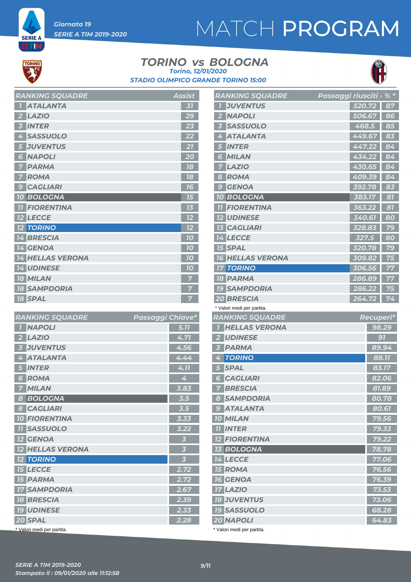## MATCH PROGRAM



**SERIE A** ETIM

#### *TORINO vs BOLOGNA STADIO OLIMPICO GRANDE TORINO 15:00 Torino, 12/01/2020*



| <b>RANKING SQUADRE</b>  | <b>Assist</b> |
|-------------------------|---------------|
| <b>ATALANTA</b>         | 31            |
| <b>LAZIO</b>            | 29            |
| <b>INTER</b><br>i3      | 23            |
| <b>SASSUOLO</b>         |               |
| <b>JUVENTUS</b><br>5    | 21            |
| <b>NAPOLI</b><br>6      | 20            |
| <b>PARMA</b>            | 18            |
| <b>ROMA</b>             | 18            |
| <b>CAGLIARI</b><br>9    | 16            |
| <b>10 BOLOGNA</b>       | 75            |
| <b>FIORENTINA</b>       | 73            |
| <b>12 LECCE</b>         | 12            |
| <b>12 TORINO</b>        | 12            |
| <b>BRESCIA</b><br>14    | 10            |
| <b>14 GENOA</b>         | 70            |
| <b>14 HELLAS VERONA</b> | 10            |
| <b>14 UDINESE</b>       | 10            |
| <b>18 MILAN</b>         |               |
| <b>18 SAMPDORIA</b>     |               |
| <b>18 SPAL</b>          | 7             |

| <b>RANKING SQUADRE</b>                     | Passaggi Chiave* |                         |
|--------------------------------------------|------------------|-------------------------|
| <b>NAPOLI</b><br>$\overline{1}$            |                  | 5.77                    |
| <b>LAZIO</b><br>2                          |                  | 4.71                    |
| <b>JUVENTUS</b><br>$\overline{\mathbf{3}}$ |                  | 4.56                    |
| <b>ATALANTA</b><br>4                       |                  | 4.44                    |
| <b>INTER</b><br>5                          |                  | 4.11                    |
| <b>ROMA</b><br>6                           |                  | 4                       |
| <b>MILAN</b><br>7                          |                  | 3.83                    |
| <b>BOLOGNA</b><br>8                        |                  | 3.5                     |
| <b>CAGLIARI</b><br>8                       |                  | 3.5                     |
| <b>10 FIORENTINA</b>                       |                  | 3.33                    |
| <b>11 SASSUOLO</b>                         |                  | 3.22                    |
| <b>12 GENOA</b>                            |                  | $\overline{\mathbf{3}}$ |
| <b>12 HELLAS VERONA</b>                    |                  | $\overline{\mathbf{3}}$ |
| <b>12 TORINO</b>                           |                  | $\overline{\mathbf{3}}$ |
| <b>15 LECCE</b>                            |                  | 2.72                    |
| <b>15 PARMA</b>                            |                  | 2.72                    |
| <b>17 SAMPDORIA</b>                        |                  | 2.67                    |
| <b>18 BRESCIA</b>                          |                  | 2.39                    |
| <b>19 UDINESE</b>                          |                  | 2.33                    |
| 20 SPAL                                    |                  | 2.28                    |
| * Valori medi per partita.                 |                  |                         |

|                         | <b>RANKING SQUADRE</b>          | Passaggi riusciti <u>- % *</u> |        |                 |
|-------------------------|---------------------------------|--------------------------------|--------|-----------------|
|                         | <b>JUVENTUS</b>                 |                                | 520.72 | 87              |
| $\mathbf{2}$            | <b>NAPOLI</b>                   |                                | 506.67 | $\overline{86}$ |
| 3                       | <b>SASSUOLO</b>                 |                                | 468.5  | 85              |
| 4                       | <b>ATALANTA</b>                 |                                | 449.67 | 83              |
| 5                       | <b>INTER</b>                    |                                | 447.22 | 84              |
| 6                       | <b>MILAN</b>                    |                                | 434.22 | 84              |
| 7                       | <b>LAZIO</b>                    |                                | 430.65 | 84              |
| 8                       | <b>ROMA</b>                     |                                | 409.39 | 84              |
| 9                       | <b>GENOA</b>                    |                                | 392.78 | 83              |
|                         | <b>10 BOLOGNA</b>               |                                | 383.17 | 81              |
|                         | <b>TI FIORENTINA</b>            |                                | 363.22 | 81              |
|                         | <b>12 UDINESE</b>               |                                | 340.61 | 80              |
|                         | <b>13 CAGLIARI</b>              |                                | 328.83 | 79              |
|                         | <b>14 LECCE</b>                 |                                | 327.5  | 80              |
|                         | <b>15 SPAL</b>                  |                                | 320.78 | 79              |
|                         | <b>16 HELLAS VERONA</b>         |                                | 309.82 | 75              |
|                         | <b>17 TORINO</b>                |                                | 306.56 | 77              |
|                         | <b>18 PARMA</b>                 |                                | 286.89 | 77              |
|                         | <b>19 SAMPDORIA</b>             |                                | 286.22 | 75              |
|                         | 20 BRESCIA                      |                                | 264.72 | 74              |
|                         | * Valori medi per partita.      |                                |        |                 |
|                         | <b>RANKING SQUADRE</b>          |                                |        | Recuperi*       |
|                         |                                 |                                |        |                 |
| $\mathbf{7}$            | <b>HELLAS VERONA</b>            |                                |        | 98.29           |
|                         | 2 UDINESE                       |                                |        | 91              |
| $\overline{\mathbf{3}}$ | <b>PARMA</b>                    |                                |        | 89.94           |
| 4                       | <b>TORINO</b>                   |                                |        | 88.77           |
| 5                       | <b>SPAL</b>                     |                                |        | 83.17           |
| 6                       | <b>CAGLIARI</b>                 |                                |        | 82.06           |
| 7 <sup>1</sup>          | <b>BRESCIA</b>                  |                                |        | 81.89           |
|                         | 8 SAMPDORIA                     |                                |        | 80.78           |
|                         | <b>9 ATALANTA</b>               |                                |        | 80.61           |
|                         | <b>10 MILAN</b>                 |                                |        | 79.56           |
|                         | <b>II INTER</b>                 |                                |        | 79.33           |
|                         | <b>12 FIORENTINA</b>            |                                |        | 79.22           |
|                         | <b>13 BOLOGNA</b>               |                                |        | 78.78           |
|                         | <b>14 LECCE</b>                 |                                |        | 77.06           |
|                         | <b>15 ROMA</b>                  |                                |        | 76.56           |
|                         | <b>16 GENOA</b>                 |                                |        | 76.39           |
|                         | <b>17 LAZIO</b>                 |                                |        | 73.53           |
|                         | <b>18 JUVENTUS</b>              |                                |        | 73.06           |
|                         | <b>19 SASSUOLO</b><br>20 NAPOLI |                                |        | 68.28<br>64.83  |

\* Valori medi per partita.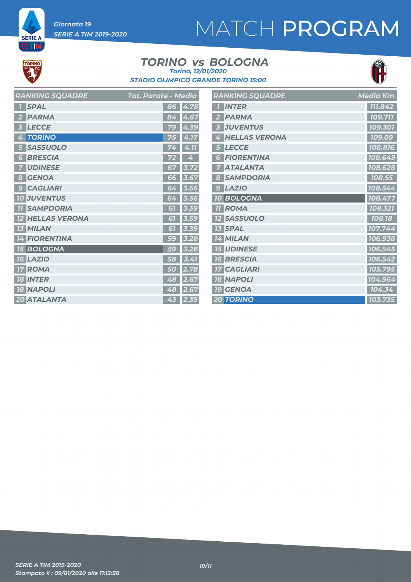## MATCH PROGRAM

**SERIE A RTM** 

#### *TORINO vs BOLOGNA STADIO OLIMPICO GRANDE TORINO 15:00 Torino, 12/01/2020*



| <b>RANKING SQUADRE</b>  | Tot. Parate - Media  | <b>RANKING SQUADRE</b> | <b>Media Km</b> |
|-------------------------|----------------------|------------------------|-----------------|
| <b>1</b> SPAL           | $86$ 4.78            | <b>1</b> INTER         | 111.842         |
| 2 PARMA                 | 84 4.67              | 2 PARMA                | 109.711         |
| 3 LECCE                 | 79 4.39              | <b>3 JUVENTUS</b>      | 109.301         |
| 4 TORINO                | 75 4.17              | 4 HELLAS VERONA        | 109.09          |
| <b>5 SASSUOLO</b>       | $74$ 4.11            | 5 LECCE                | 108.816         |
| <b>6 BRESCIA</b>        | $\overline{4}$<br>72 | <b>6 FIORENTINA</b>    | 108.649         |
| <b>UDINESE</b>          | 67 3.72              | <b>7 ATALANTA</b>      | 108.628         |
| 8 GENOA                 | 66 3.67              | <b>8 SAMPDORIA</b>     | 108.55          |
| <b>9 CAGLIARI</b>       | 64 3.56              | $9$ $LAZIO$            | 108.544         |
| <b>10 JUVENTUS</b>      | 64 3.56              | 10 BOLOGNA             | 108.477         |
| <b>11 SAMPDORIA</b>     | $61$ 3.39            | <b>II ROMA</b>         | 108.321         |
| <b>12 HELLAS VERONA</b> | $61$ 3.59            | <b>12 SASSUOLO</b>     | 108.18          |
| <b>13 MILAN</b>         | 61 3.39              | <b>13 SPAL</b>         | 107.744         |
| <b>14 FIORENTINA</b>    | 59 3.28              | 14 MILAN               | 106.938         |
| <b>15 BOLOGNA</b>       | 59 3.28              | <b>15 UDINESE</b>      | 106.545         |
| <b>16 LAZIO</b>         | $58$ 3.41            | <b>16 BRESCIA</b>      | 106.542         |
| <b>17 ROMA</b>          | $\overline{50}$ 2.78 | <b>17 CAGLIARI</b>     | 105.795         |
| <b>18 INTER</b>         | 48 2.67              | <b>18 NAPOLI</b>       | 104.964         |
| <b>18 NAPOLI</b>        | 48 2.67              | <b>19 GENOA</b>        | 104.34          |
| 20 ATALANTA             | 43 2.39              | <b>20 TORINO</b>       | 103.735         |